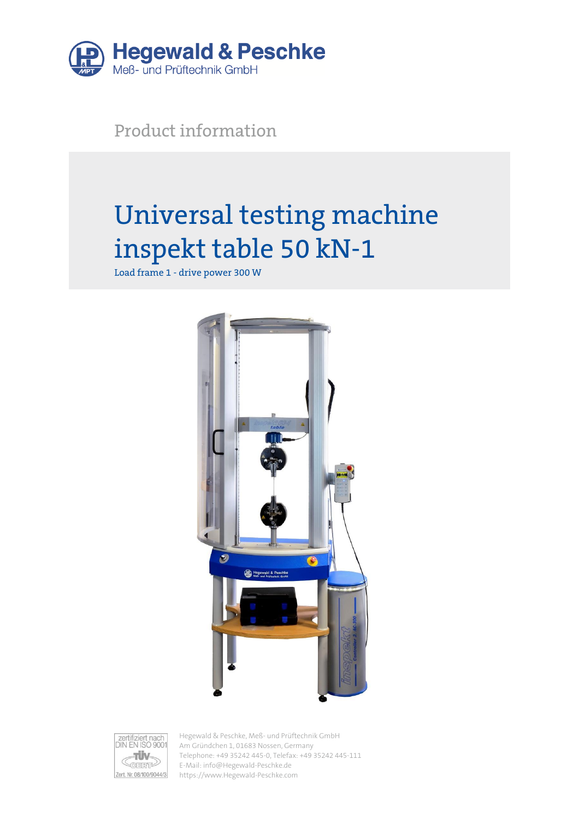

Product information

# Universal testing machine inspekt table 50 kN-1

Load frame 1 - drive power 300 W





Hegewald & Peschke, Meß- und Prüftechnik GmbH Am Gründchen 1, 01683 Nossen, Germany Telephone: +49 35242 445-0, Telefax: +49 35242 445-111 E-Mail: info@Hegewald-Peschke.de https://www.Hegewald-Peschke.com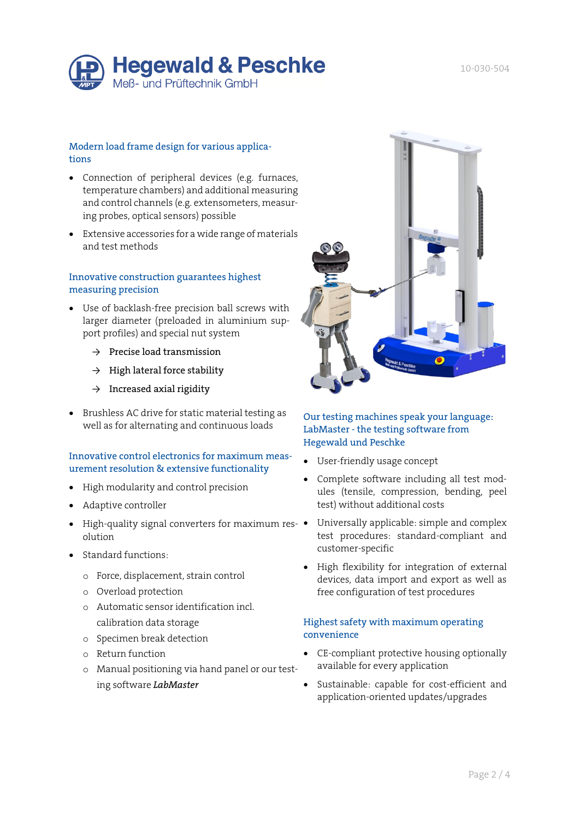

### Modern load frame design for various applications

- Connection of peripheral devices (e.g. furnaces, temperature chambers) and additional measuring and control channels (e.g. extensometers, measuring probes, optical sensors) possible
- Extensive accessories for a wide range of materials and test methods

### Innovative construction guarantees highest measuring precision

- Use of backlash-free precision ball screws with larger diameter (preloaded in aluminium support profiles) and special nut system
	- $\rightarrow$  Precise load transmission
	- $\rightarrow$  High lateral force stability
	- $\rightarrow$  Increased axial rigidity
- Brushless AC drive for static material testing as well as for alternating and continuous loads

#### Innovative control electronics for maximum measurement resolution & extensive functionality

- High modularity and control precision
- Adaptive controller
- High-quality signal converters for maximum res- olution
- Standard functions:
	- o Force, displacement, strain control
	- o Overload protection
	- o Automatic sensor identification incl. calibration data storage
	- o Specimen break detection
	- o Return function
	- o Manual positioning via hand panel or our testing software *LabMaster*



#### Our testing machines speak your language: LabMaster - the testing software from Hegewald und Peschke

- User-friendly usage concept
- Complete software including all test modules (tensile, compression, bending, peel test) without additional costs
- Universally applicable: simple and complex test procedures: standard-compliant and customer-specific
- High flexibility for integration of external devices, data import and export as well as free configuration of test procedures

#### Highest safety with maximum operating convenience

- CE-compliant protective housing optionally available for every application
- Sustainable: capable for cost-efficient and application-oriented updates/upgrades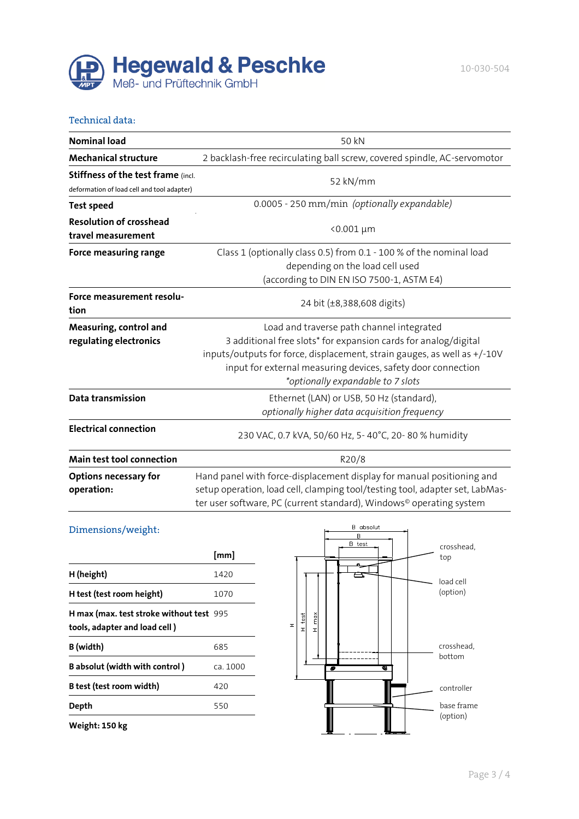

#### Technical data:

| <b>Nominal load</b>                                                              | 50 kN                                                                                                                                                                                                                                                                                         |  |
|----------------------------------------------------------------------------------|-----------------------------------------------------------------------------------------------------------------------------------------------------------------------------------------------------------------------------------------------------------------------------------------------|--|
| <b>Mechanical structure</b>                                                      | 2 backlash-free recirculating ball screw, covered spindle, AC-servomotor                                                                                                                                                                                                                      |  |
| Stiffness of the test frame (incl.<br>deformation of load cell and tool adapter) | 52 kN/mm                                                                                                                                                                                                                                                                                      |  |
| <b>Test speed</b>                                                                | 0.0005 - 250 mm/min (optionally expandable)                                                                                                                                                                                                                                                   |  |
| <b>Resolution of crosshead</b><br>travel measurement                             | <0.001 µm                                                                                                                                                                                                                                                                                     |  |
| Force measuring range                                                            | Class 1 (optionally class 0.5) from 0.1 - 100 % of the nominal load<br>depending on the load cell used<br>(according to DIN EN ISO 7500-1, ASTM E4)                                                                                                                                           |  |
| Force measurement resolu-<br>tion                                                | 24 bit (±8,388,608 digits)                                                                                                                                                                                                                                                                    |  |
| Measuring, control and<br>regulating electronics                                 | Load and traverse path channel integrated<br>3 additional free slots* for expansion cards for analog/digital<br>inputs/outputs for force, displacement, strain gauges, as well as +/-10V<br>input for external measuring devices, safety door connection<br>*optionally expandable to 7 slots |  |
| Data transmission                                                                | Ethernet (LAN) or USB, 50 Hz (standard),<br>optionally higher data acquisition frequency                                                                                                                                                                                                      |  |
| <b>Electrical connection</b>                                                     | 230 VAC, 0.7 kVA, 50/60 Hz, 5-40°C, 20-80% humidity                                                                                                                                                                                                                                           |  |
| Main test tool connection                                                        | R20/8                                                                                                                                                                                                                                                                                         |  |
| <b>Options necessary for</b><br>operation:                                       | Hand panel with force-displacement display for manual positioning and<br>setup operation, load cell, clamping tool/testing tool, adapter set, LabMas-<br>ter user software, PC (current standard), Windows <sup>®</sup> operating system                                                      |  |

## Dimensions/weight:

|                                                                           | [mm]     |
|---------------------------------------------------------------------------|----------|
| H (height)                                                                | 1420     |
| H test (test room height)                                                 | 1070     |
| H max (max. test stroke without test 995<br>tools, adapter and load cell) |          |
| B (width)                                                                 | 685      |
| B absolut (width with control)                                            | ca. 1000 |
| B test (test room width)                                                  | 420      |
| Depth                                                                     | 550      |
| Weight: 150 kg                                                            |          |